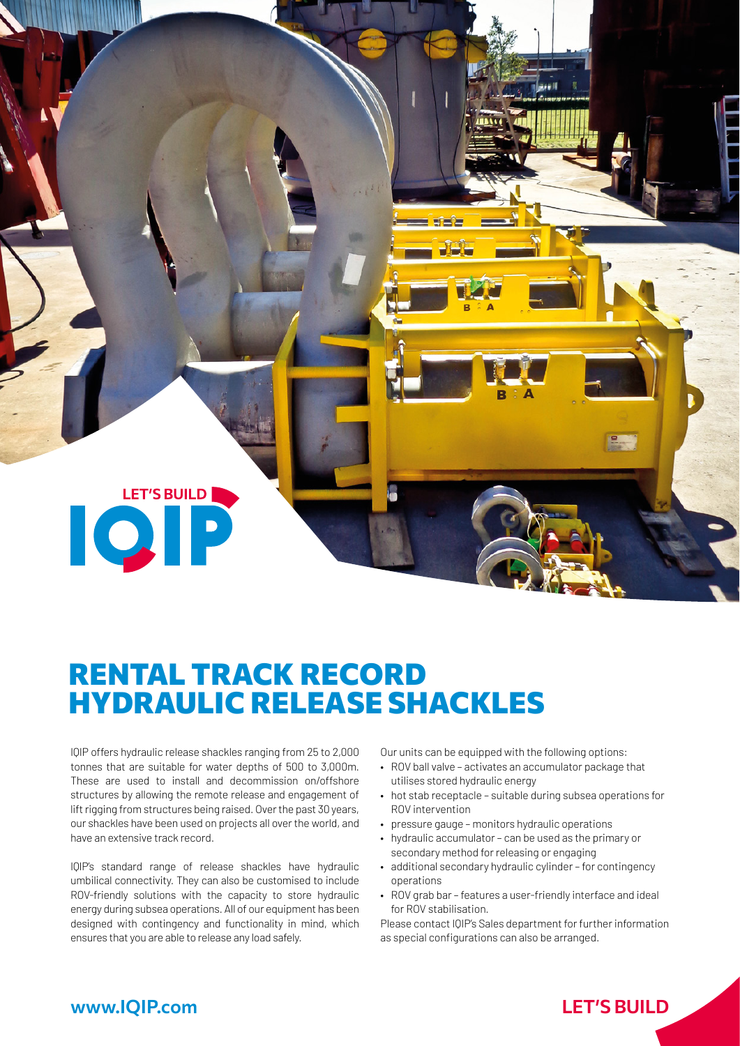**LET'S BUILD IQP** 

# RENTAL TRACK RECORD HYDRAULIC RELEASE SHACKLES

IQIP offers hydraulic release shackles ranging from 25 to 2,000 tonnes that are suitable for water depths of 500 to 3,000m. These are used to install and decommission on/offshore structures by allowing the remote release and engagement of lift rigging from structures being raised. Over the past 30 years, our shackles have been used on projects all over the world, and have an extensive track record.

IQIP's standard range of release shackles have hydraulic umbilical connectivity. They can also be customised to include ROV-friendly solutions with the capacity to store hydraulic energy during subsea operations. All of our equipment has been designed with contingency and functionality in mind, which ensures that you are able to release any load safely.

Our units can be equipped with the following options:

- ROV ball valve activates an accumulator package that utilises stored hydraulic energy
- hot stab receptacle suitable during subsea operations for ROV intervention
- pressure gauge monitors hydraulic operations
- hydraulic accumulator can be used as the primary or secondary method for releasing or engaging
- additional secondary hydraulic cylinder for contingency operations
- ROV grab bar features a user-friendly interface and ideal for ROV stabilisation.

Please contact IQIP's Sales department for further information as special configurations can also be arranged.

### www.IQIP.com LET**'**S BUILD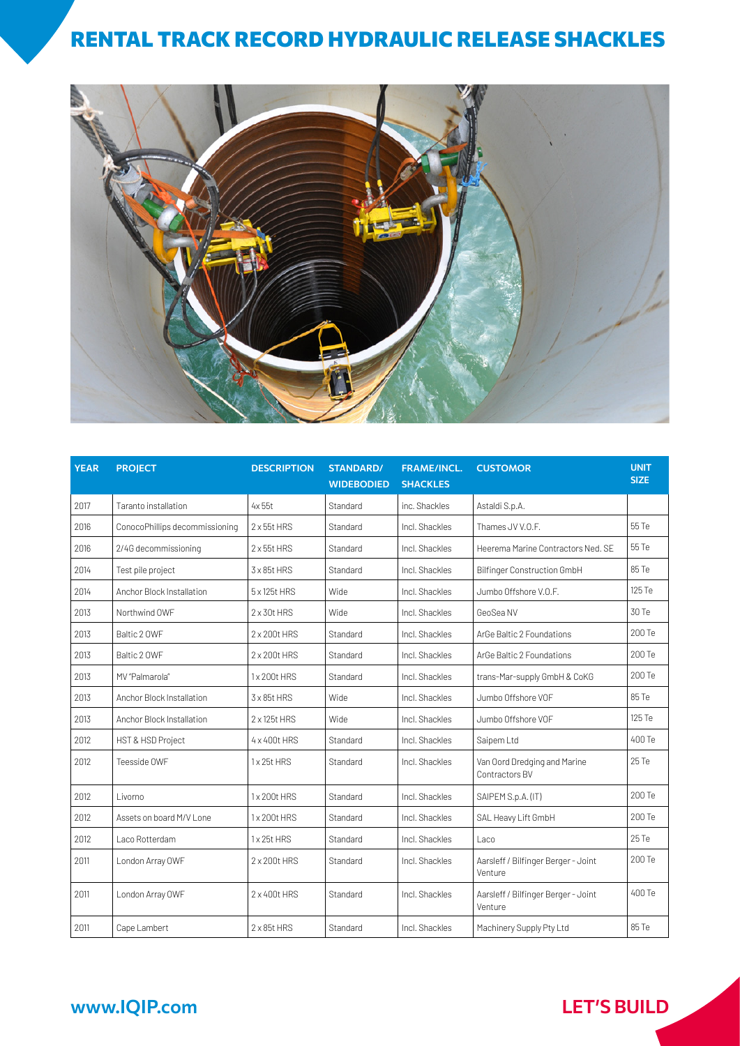### RENTAL TRACK RECORD HYDRAULIC RELEASE SHACKLES



| <b>YEAR</b> | <b>PROJECT</b>                 | <b>DESCRIPTION</b>   | <b>STANDARD/</b><br><b>WIDEBODIED</b> | <b>FRAME/INCL.</b><br><b>SHACKLES</b> | <b>CUSTOMOR</b>                                | <b>UNIT</b><br><b>SIZE</b> |
|-------------|--------------------------------|----------------------|---------------------------------------|---------------------------------------|------------------------------------------------|----------------------------|
| 2017        | Taranto installation           | 4x 55t               | Standard                              | inc. Shackles                         | Astaldi S.p.A.                                 |                            |
| 2016        | ConocoPhillips decommissioning | $2 \times 55t$ HRS   | Standard                              | Incl. Shackles                        | Thames JV V.O.F.                               | 55 Te                      |
| 2016        | 2/4G decommissioning           | $2 \times 55t$ HRS   | Standard                              | Incl. Shackles                        | Heerema Marine Contractors Ned, SF             | 55 Te                      |
| 2014        | Test pile project              | $3 \times 85t$ HRS   | Standard                              | Incl. Shackles                        | <b>Bilfinger Construction GmbH</b>             | 85 Te                      |
| 2014        | Anchor Block Installation      | 5 x 125t HRS         | Wide                                  | Incl. Shackles                        | Jumbo Offshore V.O.F.                          | 125 Te                     |
| 2013        | Northwind OWF                  | $2 \times 30t$ HRS   | Wide                                  | Incl. Shackles                        | GeoSea NV                                      | 30 Te                      |
| 2013        | Baltic 2 OWF                   | 2 x 200t HRS         | Standard                              | Incl. Shackles                        | ArGe Baltic 2 Foundations                      | 200 Te                     |
| 2013        | Baltic 2 OWF                   | 2 x 200t HRS         | Standard                              | Incl. Shackles                        | ArGe Baltic 2 Foundations                      | 200 Te                     |
| 2013        | MV "Palmarola"                 | 1x200t HRS           | Standard                              | Incl. Shackles                        | trans-Mar-supply GmbH & CoKG                   | 200 Te                     |
| 2013        | Anchor Block Installation      | $3 \times 85$ t HRS  | Wide                                  | Incl. Shackles                        | Jumbo Offshore VOF                             | 85 Te                      |
| 2013        | Anchor Block Installation      | $2 \times 125$ t HRS | Wide                                  | Incl. Shackles                        | Jumbo Offshore VOF                             | 125 Te                     |
| 2012        | HST & HSD Project              | 4 x 400t HRS         | Standard                              | Incl. Shackles                        | Saipem Ltd                                     | 400 Te                     |
| 2012        | Teesside OWF                   | 1x25t HRS            | Standard                              | Incl. Shackles                        | Van Oord Dredging and Marine<br>Contractors BV | 25 Te                      |
| 2012        | Livorno                        | 1x200t HRS           | Standard                              | Incl. Shackles                        | SAIPEM S.p.A. (IT)                             | 200 Te                     |
| 2012        | Assets on board M/V Lone       | 1x 200t HRS          | Standard                              | Incl. Shackles                        | SAL Heavy Lift GmbH                            | 200 Te                     |
| 2012        | Laco Rotterdam                 | 1x25t HRS            | Standard                              | Incl. Shackles                        | Laco                                           | 25 Te                      |
| 2011        | London Array OWF               | 2 x 200t HRS         | Standard                              | Incl. Shackles                        | Aarsleff / Bilfinger Berger - Joint<br>Venture | 200 Te                     |
| 2011        | London Array OWF               | 2 x 400t HRS         | Standard                              | Incl. Shackles                        | Aarsleff / Bilfinger Berger - Joint<br>Venture | 400 Te                     |
| 2011        | Cape Lambert                   | $2 \times 85$ t HRS  | Standard                              | Incl. Shackles                        | Machinery Supply Pty Ltd                       | 85 Te                      |